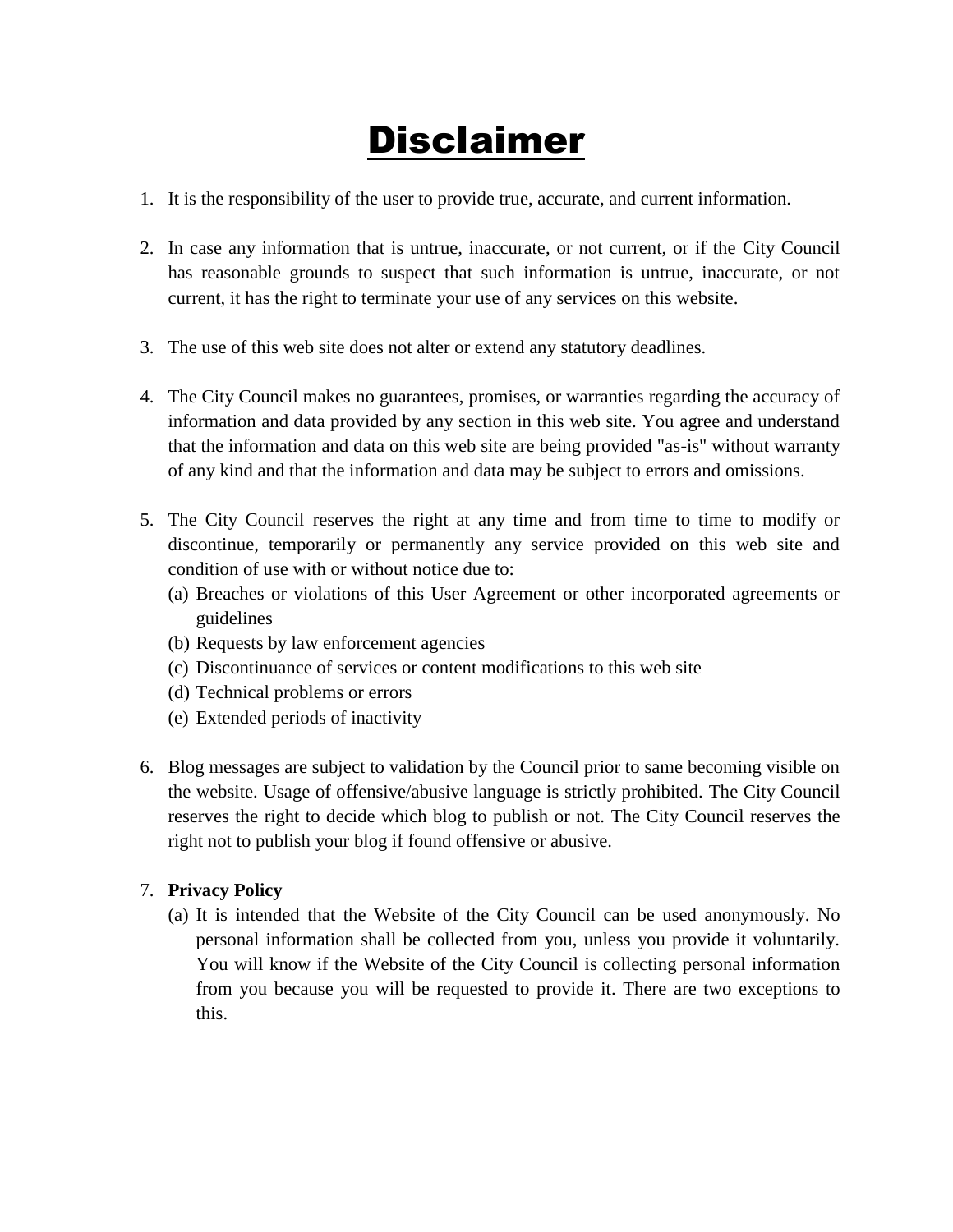## Disclaimer

- 1. It is the responsibility of the user to provide true, accurate, and current information.
- 2. In case any information that is untrue, inaccurate, or not current, or if the City Council has reasonable grounds to suspect that such information is untrue, inaccurate, or not current, it has the right to terminate your use of any services on this website.
- 3. The use of this web site does not alter or extend any statutory deadlines.
- 4. The City Council makes no guarantees, promises, or warranties regarding the accuracy of information and data provided by any section in this web site. You agree and understand that the information and data on this web site are being provided "as-is" without warranty of any kind and that the information and data may be subject to errors and omissions.
- 5. The City Council reserves the right at any time and from time to time to modify or discontinue, temporarily or permanently any service provided on this web site and condition of use with or without notice due to:
	- (a) Breaches or violations of this User Agreement or other incorporated agreements or guidelines
	- (b) Requests by law enforcement agencies
	- (c) Discontinuance of services or content modifications to this web site
	- (d) Technical problems or errors
	- (e) Extended periods of inactivity
- 6. Blog messages are subject to validation by the Council prior to same becoming visible on the website. Usage of offensive/abusive language is strictly prohibited. The City Council reserves the right to decide which blog to publish or not. The City Council reserves the right not to publish your blog if found offensive or abusive.

## 7. **Privacy Policy**

(a) It is intended that the Website of the City Council can be used anonymously. No personal information shall be collected from you, unless you provide it voluntarily. You will know if the Website of the City Council is collecting personal information from you because you will be requested to provide it. There are two exceptions to this.